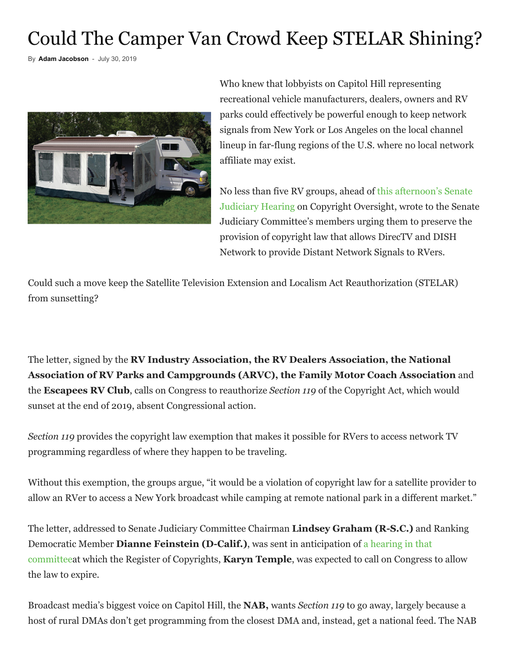## Could The Camper Van Crowd Keep STELAR Shining?

By **[Adam Jacobson](https://www.rbr.com/author/ajacobson/)** - July 30, 2019



Who knew that lobbyists on Capitol Hill representing recreational vehicle manufacturers, dealers, owners and RV parks could effectively be powerful enough to keep network signals from New York or Los Angeles on the local channel lineup in far-flung regions of the U.S. where no local network affiliate may exist.

No less than five RV groups, ahead of this afternoon's Senate Judiciary Hearing [on Copyright Oversight, wrote to the Senat](https://www.judiciary.senate.gov/meetings/oversight-of-the-united-states-copyright-office)e Judiciary Committee's members urging them to preserve the provision of copyright law that allows DirecTV and DISH Network to provide Distant Network Signals to RVers.

Could such a move keep the Satellite Television Extension and Localism Act Reauthorization (STELAR) from sunsetting?

The letter, signed by the **RV Industry Association, the RV Dealers Association, the National Association of RV Parks and Campgrounds (ARVC), the Family Motor Coach Association** and the **Escapees RV Club**, calls on Congress to reauthorize *Section 119* of the Copyright Act, which would sunset at the end of 2019, absent Congressional action.

*Section 119* provides the copyright law exemption that makes it possible for RVers to access network TV programming regardless of where they happen to be traveling.

Without this exemption, the groups argue, "it would be a violation of copyright law for a satellite provider to allow an RVer to access a New York broadcast while camping at remote national park in a different market."

The letter, addressed to Senate Judiciary Committee Chairman **Lindsey Graham (R-S.C.)** and Ranking Democratic Member **Dianne Feinstein (D-Calif.)**, was sent in anticipation of a hearing in that [committeeat which the Register of Copyrights,](https://www.judiciary.senate.gov/meetings/oversight-of-the-united-states-copyright-office) **Karyn Temple**, was expected to call on Congress to allow the law to expire.

Broadcast media's biggest voice on Capitol Hill, the **NAB,** wants *Section 119* to go away, largely because a host of rural DMAs don't get programming from the closest DMA and, instead, get a national feed. The NAB